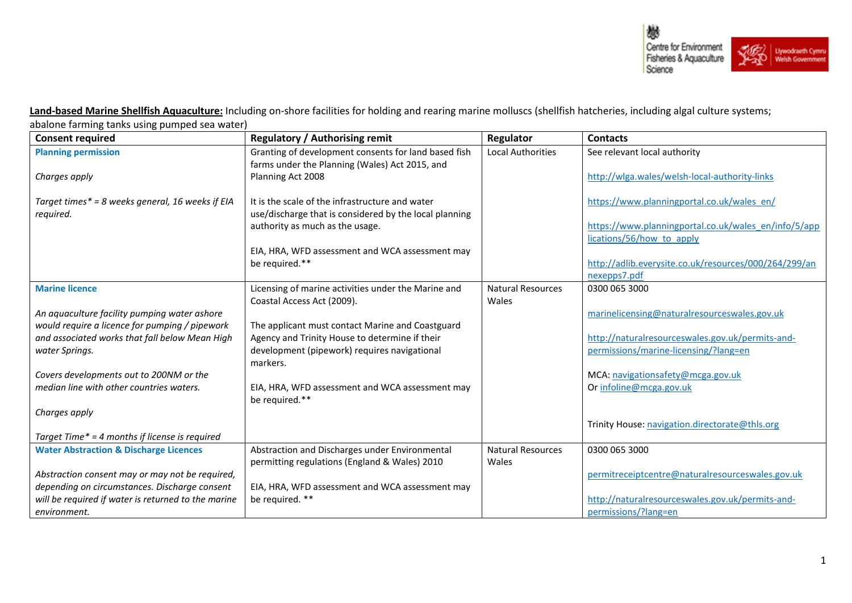

**Land-based Marine Shellfish Aquaculture:** Including on-shore facilities for holding and rearing marine molluscs (shellfish hatcheries, including algal culture systems; abalone farming tanks using pumped sea water)

| <b>Consent required</b>                                                                        | <b>Regulatory / Authorising remit</b>                  | Regulator                         | <b>Contacts</b>                                       |
|------------------------------------------------------------------------------------------------|--------------------------------------------------------|-----------------------------------|-------------------------------------------------------|
| <b>Planning permission</b>                                                                     | Granting of development consents for land based fish   | <b>Local Authorities</b>          | See relevant local authority                          |
|                                                                                                | farms under the Planning (Wales) Act 2015, and         |                                   |                                                       |
| Charges apply                                                                                  | Planning Act 2008                                      |                                   | http://wlga.wales/welsh-local-authority-links         |
|                                                                                                |                                                        |                                   |                                                       |
| Target times* = 8 weeks general, 16 weeks if EIA                                               | It is the scale of the infrastructure and water        |                                   | https://www.planningportal.co.uk/wales_en/            |
| required.                                                                                      | use/discharge that is considered by the local planning |                                   |                                                       |
|                                                                                                | authority as much as the usage.                        |                                   | https://www.planningportal.co.uk/wales_en/info/5/app  |
|                                                                                                |                                                        |                                   | lications/56/how to apply                             |
|                                                                                                | EIA, HRA, WFD assessment and WCA assessment may        |                                   |                                                       |
|                                                                                                | be required.**                                         |                                   | http://adlib.everysite.co.uk/resources/000/264/299/an |
|                                                                                                |                                                        |                                   | nexepps7.pdf                                          |
| <b>Marine licence</b>                                                                          | Licensing of marine activities under the Marine and    | <b>Natural Resources</b><br>Wales | 0300 065 3000                                         |
|                                                                                                | Coastal Access Act (2009).                             |                                   |                                                       |
| An aquaculture facility pumping water ashore<br>would require a licence for pumping / pipework | The applicant must contact Marine and Coastguard       |                                   | marinelicensing@naturalresourceswales.gov.uk          |
| and associated works that fall below Mean High                                                 | Agency and Trinity House to determine if their         |                                   | http://naturalresourceswales.gov.uk/permits-and-      |
| water Springs.                                                                                 | development (pipework) requires navigational           |                                   | permissions/marine-licensing/?lang=en                 |
|                                                                                                | markers.                                               |                                   |                                                       |
| Covers developments out to 200NM or the                                                        |                                                        |                                   | MCA: navigationsafety@mcga.gov.uk                     |
| median line with other countries waters.                                                       | EIA, HRA, WFD assessment and WCA assessment may        |                                   | Or infoline@mcga.gov.uk                               |
|                                                                                                | be required.**                                         |                                   |                                                       |
| Charges apply                                                                                  |                                                        |                                   |                                                       |
|                                                                                                |                                                        |                                   | Trinity House: navigation.directorate@thls.org        |
| Target Time* = 4 months if license is required                                                 |                                                        |                                   |                                                       |
| <b>Water Abstraction &amp; Discharge Licences</b>                                              | Abstraction and Discharges under Environmental         | <b>Natural Resources</b>          | 0300 065 3000                                         |
|                                                                                                | permitting regulations (England & Wales) 2010          | Wales                             |                                                       |
| Abstraction consent may or may not be required,                                                |                                                        |                                   | permitreceiptcentre@naturalresourceswales.gov.uk      |
| depending on circumstances. Discharge consent                                                  | EIA, HRA, WFD assessment and WCA assessment may        |                                   |                                                       |
| will be required if water is returned to the marine                                            | be required. **                                        |                                   | http://naturalresourceswales.gov.uk/permits-and-      |
| environment.                                                                                   |                                                        |                                   | permissions/?lang=en                                  |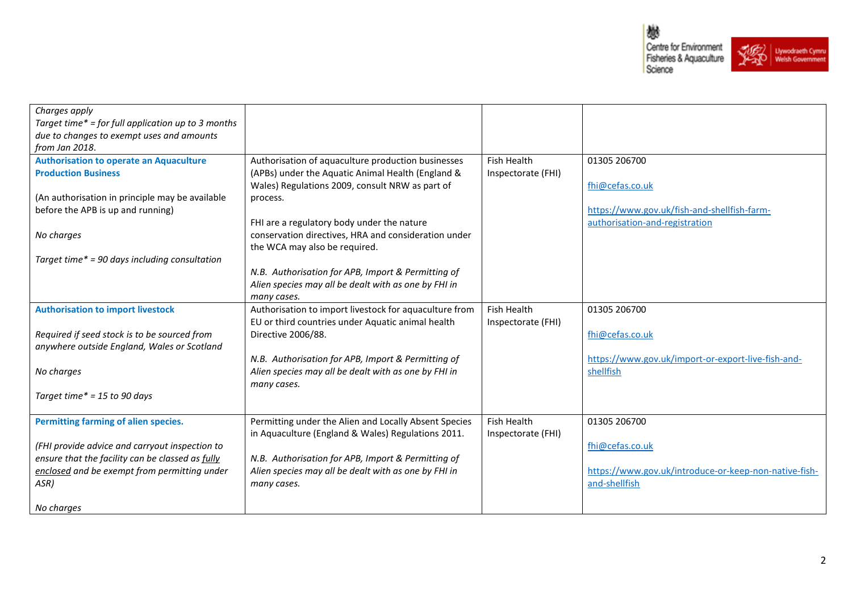鬱 Centre for Environment<br>Fisheries & Aquaculture<br>Science Uywodraeth Cymru<br>Welsh Government

| Charges apply                                                                                    |                                                                                                            |                    |                                                       |
|--------------------------------------------------------------------------------------------------|------------------------------------------------------------------------------------------------------------|--------------------|-------------------------------------------------------|
| Target time* = for full application up to 3 months                                               |                                                                                                            |                    |                                                       |
| due to changes to exempt uses and amounts                                                        |                                                                                                            |                    |                                                       |
| from Jan 2018.                                                                                   |                                                                                                            |                    |                                                       |
| <b>Authorisation to operate an Aquaculture</b>                                                   | Authorisation of aquaculture production businesses                                                         | Fish Health        | 01305 206700                                          |
| <b>Production Business</b>                                                                       | (APBs) under the Aquatic Animal Health (England &                                                          | Inspectorate (FHI) |                                                       |
|                                                                                                  | Wales) Regulations 2009, consult NRW as part of                                                            |                    | fhi@cefas.co.uk                                       |
| (An authorisation in principle may be available                                                  | process.                                                                                                   |                    |                                                       |
| before the APB is up and running)                                                                |                                                                                                            |                    | https://www.gov.uk/fish-and-shellfish-farm-           |
|                                                                                                  | FHI are a regulatory body under the nature                                                                 |                    | authorisation-and-registration                        |
| No charges                                                                                       | conservation directives, HRA and consideration under                                                       |                    |                                                       |
|                                                                                                  | the WCA may also be required.                                                                              |                    |                                                       |
| Target time* = 90 days including consultation                                                    |                                                                                                            |                    |                                                       |
|                                                                                                  | N.B. Authorisation for APB, Import & Permitting of                                                         |                    |                                                       |
|                                                                                                  | Alien species may all be dealt with as one by FHI in                                                       |                    |                                                       |
|                                                                                                  | many cases.                                                                                                |                    |                                                       |
| <b>Authorisation to import livestock</b>                                                         | Authorisation to import livestock for aquaculture from                                                     | Fish Health        | 01305 206700                                          |
|                                                                                                  | EU or third countries under Aquatic animal health                                                          | Inspectorate (FHI) |                                                       |
| Required if seed stock is to be sourced from                                                     | Directive 2006/88.                                                                                         |                    | fhi@cefas.co.uk                                       |
| anywhere outside England, Wales or Scotland                                                      |                                                                                                            |                    |                                                       |
|                                                                                                  | N.B. Authorisation for APB, Import & Permitting of                                                         |                    | https://www.gov.uk/import-or-export-live-fish-and-    |
| No charges                                                                                       | Alien species may all be dealt with as one by FHI in                                                       |                    | shellfish                                             |
|                                                                                                  | many cases.                                                                                                |                    |                                                       |
| Target time* = 15 to 90 days                                                                     |                                                                                                            |                    |                                                       |
|                                                                                                  |                                                                                                            |                    |                                                       |
| Permitting farming of alien species.                                                             | Permitting under the Alien and Locally Absent Species                                                      | Fish Health        | 01305 206700                                          |
|                                                                                                  | in Aquaculture (England & Wales) Regulations 2011.                                                         | Inspectorate (FHI) |                                                       |
| (FHI provide advice and carryout inspection to                                                   |                                                                                                            |                    | fhi@cefas.co.uk                                       |
| ensure that the facility can be classed as fully<br>enclosed and be exempt from permitting under | N.B. Authorisation for APB, Import & Permitting of<br>Alien species may all be dealt with as one by FHI in |                    | https://www.gov.uk/introduce-or-keep-non-native-fish- |
| ASR)                                                                                             |                                                                                                            |                    | and-shellfish                                         |
|                                                                                                  | many cases.                                                                                                |                    |                                                       |
| No charges                                                                                       |                                                                                                            |                    |                                                       |
|                                                                                                  |                                                                                                            |                    |                                                       |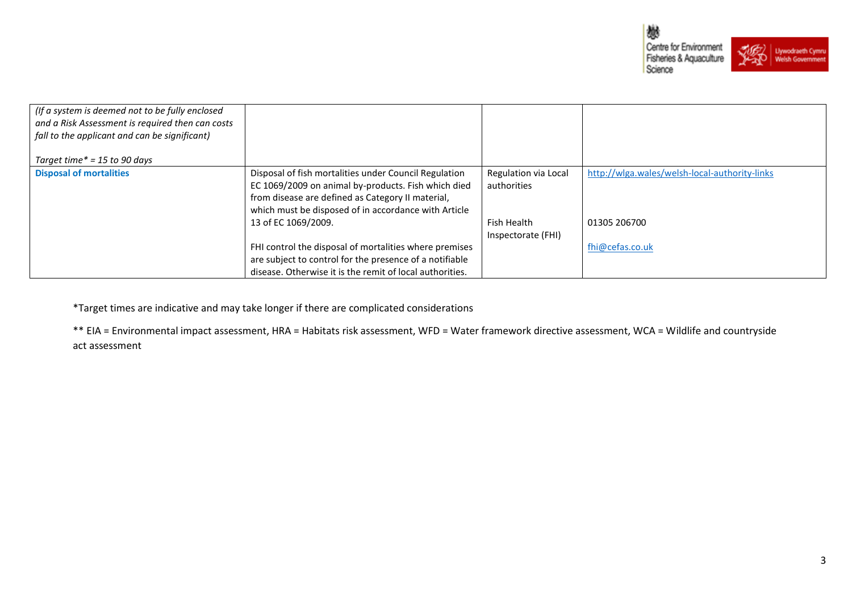

| (If a system is deemed not to be fully enclosed<br>and a Risk Assessment is required then can costs<br>fall to the applicant and can be significant) |                                                          |                      |                                               |
|------------------------------------------------------------------------------------------------------------------------------------------------------|----------------------------------------------------------|----------------------|-----------------------------------------------|
| Target time $* = 15$ to 90 days                                                                                                                      |                                                          |                      |                                               |
| <b>Disposal of mortalities</b>                                                                                                                       | Disposal of fish mortalities under Council Regulation    | Regulation via Local | http://wlga.wales/welsh-local-authority-links |
|                                                                                                                                                      | EC 1069/2009 on animal by-products. Fish which died      | authorities          |                                               |
|                                                                                                                                                      | from disease are defined as Category II material,        |                      |                                               |
|                                                                                                                                                      | which must be disposed of in accordance with Article     |                      |                                               |
|                                                                                                                                                      | 13 of EC 1069/2009.                                      | Fish Health          | 01305 206700                                  |
|                                                                                                                                                      |                                                          | Inspectorate (FHI)   |                                               |
|                                                                                                                                                      | FHI control the disposal of mortalities where premises   |                      | fhi@cefas.co.uk                               |
|                                                                                                                                                      | are subject to control for the presence of a notifiable  |                      |                                               |
|                                                                                                                                                      | disease. Otherwise it is the remit of local authorities. |                      |                                               |

\*Target times are indicative and may take longer if there are complicated considerations

\*\* EIA = Environmental impact assessment, HRA = Habitats risk assessment, WFD = Water framework directive assessment, WCA = Wildlife and countryside act assessment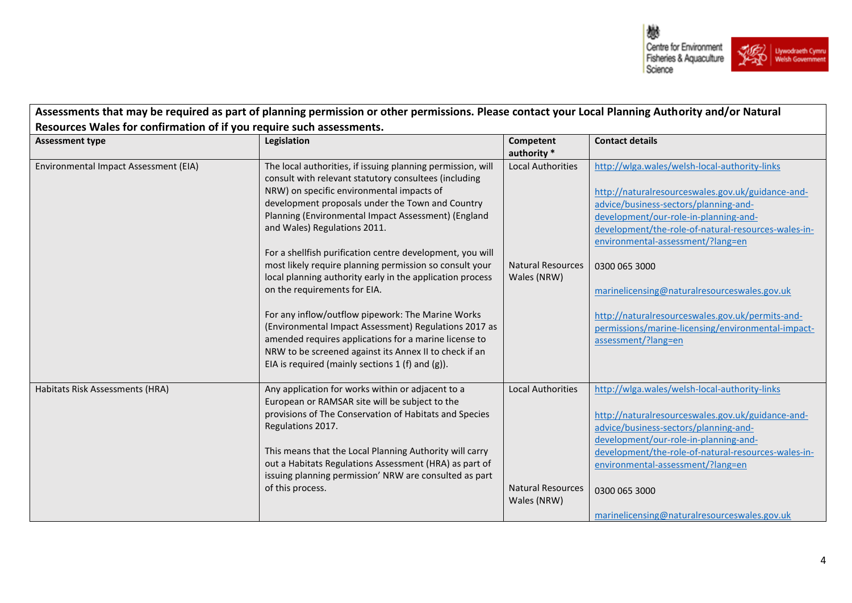

| <b>Assessment type</b>                | Legislation                                                                                                                                                                                                                                                                                                                                                                                                                                                                                                                                                                                                                                                                                                                                                                                                                | Competent<br>authority *                                            | <b>Contact details</b>                                                                                                                                                                                                                                                                                                                                                                                                                                                             |
|---------------------------------------|----------------------------------------------------------------------------------------------------------------------------------------------------------------------------------------------------------------------------------------------------------------------------------------------------------------------------------------------------------------------------------------------------------------------------------------------------------------------------------------------------------------------------------------------------------------------------------------------------------------------------------------------------------------------------------------------------------------------------------------------------------------------------------------------------------------------------|---------------------------------------------------------------------|------------------------------------------------------------------------------------------------------------------------------------------------------------------------------------------------------------------------------------------------------------------------------------------------------------------------------------------------------------------------------------------------------------------------------------------------------------------------------------|
| Environmental Impact Assessment (EIA) | The local authorities, if issuing planning permission, will<br>consult with relevant statutory consultees (including<br>NRW) on specific environmental impacts of<br>development proposals under the Town and Country<br>Planning (Environmental Impact Assessment) (England<br>and Wales) Regulations 2011.<br>For a shellfish purification centre development, you will<br>most likely require planning permission so consult your<br>local planning authority early in the application process<br>on the requirements for EIA.<br>For any inflow/outflow pipework: The Marine Works<br>(Environmental Impact Assessment) Regulations 2017 as<br>amended requires applications for a marine license to<br>NRW to be screened against its Annex II to check if an<br>EIA is required (mainly sections $1(f)$ and $(g)$ ). | <b>Local Authorities</b><br><b>Natural Resources</b><br>Wales (NRW) | http://wlga.wales/welsh-local-authority-links<br>http://naturalresourceswales.gov.uk/guidance-and-<br>advice/business-sectors/planning-and-<br>development/our-role-in-planning-and-<br>development/the-role-of-natural-resources-wales-in-<br>environmental-assessment/?lang=en<br>0300 065 3000<br>marinelicensing@naturalresourceswales.gov.uk<br>http://naturalresourceswales.gov.uk/permits-and-<br>permissions/marine-licensing/environmental-impact-<br>assessment/?lang=en |
| Habitats Risk Assessments (HRA)       | Any application for works within or adjacent to a<br>European or RAMSAR site will be subject to the<br>provisions of The Conservation of Habitats and Species<br>Regulations 2017.<br>This means that the Local Planning Authority will carry<br>out a Habitats Regulations Assessment (HRA) as part of<br>issuing planning permission' NRW are consulted as part<br>of this process.                                                                                                                                                                                                                                                                                                                                                                                                                                      | <b>Local Authorities</b><br><b>Natural Resources</b><br>Wales (NRW) | http://wlga.wales/welsh-local-authority-links<br>http://naturalresourceswales.gov.uk/guidance-and-<br>advice/business-sectors/planning-and-<br>development/our-role-in-planning-and-<br>development/the-role-of-natural-resources-wales-in-<br>environmental-assessment/?lang=en<br>0300 065 3000<br>marinelicensing@naturalresourceswales.gov.uk                                                                                                                                  |